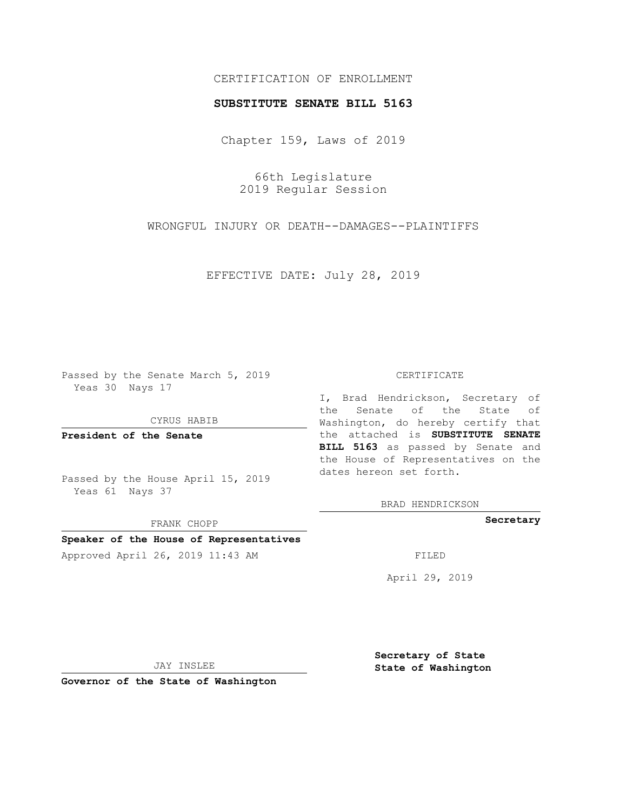# CERTIFICATION OF ENROLLMENT

### **SUBSTITUTE SENATE BILL 5163**

Chapter 159, Laws of 2019

66th Legislature 2019 Regular Session

WRONGFUL INJURY OR DEATH--DAMAGES--PLAINTIFFS

EFFECTIVE DATE: July 28, 2019

Passed by the Senate March 5, 2019 Yeas 30 Nays 17

CYRUS HABIB

**President of the Senate**

Passed by the House April 15, 2019 Yeas 61 Nays 37

FRANK CHOPP

# **Speaker of the House of Representatives**

Approved April 26, 2019 11:43 AM FILED

#### CERTIFICATE

I, Brad Hendrickson, Secretary of the Senate of the State of Washington, do hereby certify that the attached is **SUBSTITUTE SENATE BILL 5163** as passed by Senate and the House of Representatives on the dates hereon set forth.

BRAD HENDRICKSON

**Secretary**

April 29, 2019

JAY INSLEE

**Governor of the State of Washington**

**Secretary of State State of Washington**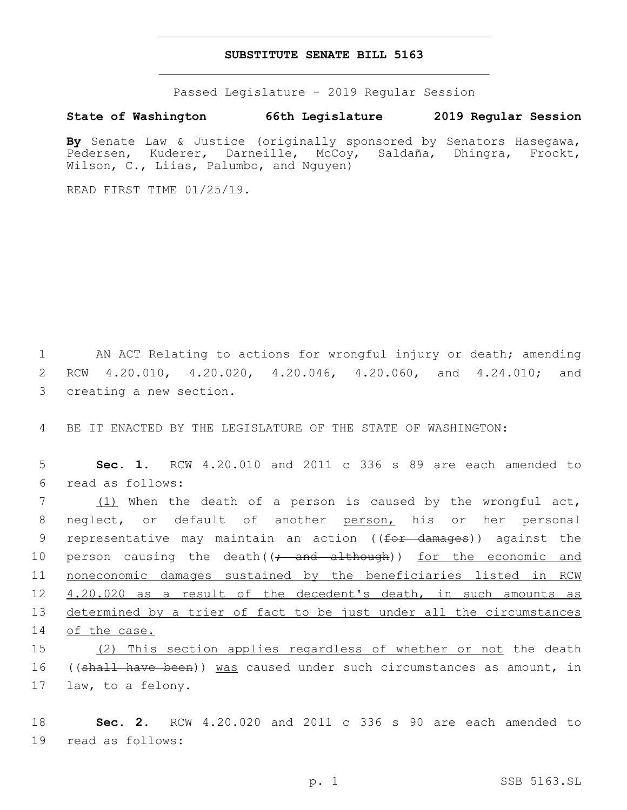## **SUBSTITUTE SENATE BILL 5163**

Passed Legislature - 2019 Regular Session

## **State of Washington 66th Legislature 2019 Regular Session**

**By** Senate Law & Justice (originally sponsored by Senators Hasegawa, Pedersen, Kuderer, Darneille, McCoy, Saldaña, Dhingra, Frockt, Wilson, C., Liias, Palumbo, and Nguyen)

READ FIRST TIME 01/25/19.

1 AN ACT Relating to actions for wrongful injury or death; amending 2 RCW 4.20.010, 4.20.020, 4.20.046, 4.20.060, and 4.24.010; and 3 creating a new section.

4 BE IT ENACTED BY THE LEGISLATURE OF THE STATE OF WASHINGTON:

5 **Sec. 1.** RCW 4.20.010 and 2011 c 336 s 89 are each amended to read as follows:6

7 (1) When the death of a person is caused by the wrongful act, neglect, or default of another person, his or her personal 9 representative may maintain an action ((for damages)) against the 10 person causing the death((; and although)) for the economic and noneconomic damages sustained by the beneficiaries listed in RCW 4.20.020 as a result of the decedent's death, in such amounts as determined by a trier of fact to be just under all the circumstances of the case.

15 (2) This section applies regardless of whether or not the death 16 ((shall have been)) was caused under such circumstances as amount, in 17 law, to a felony.

18 **Sec. 2.** RCW 4.20.020 and 2011 c 336 s 90 are each amended to 19 read as follows: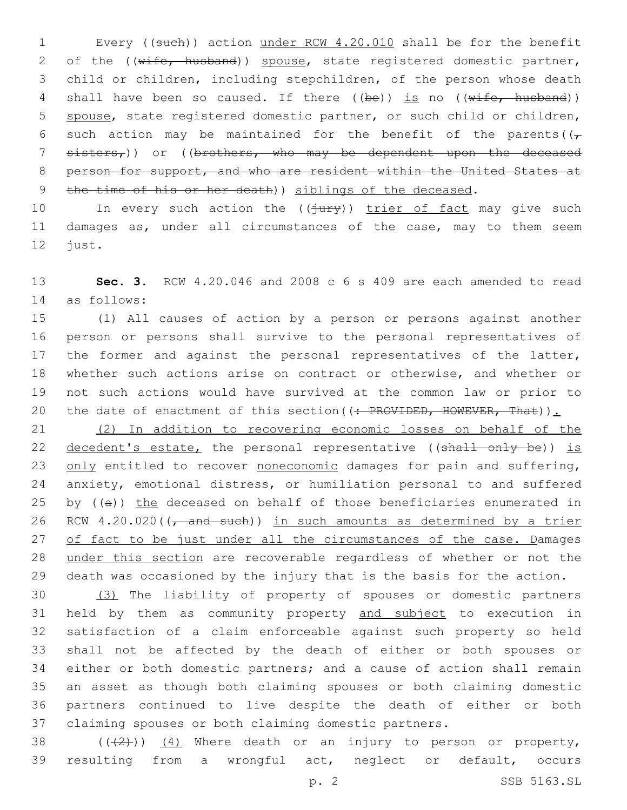1 Every ((such)) action under RCW 4.20.010 shall be for the benefit 2 of the ((wife, husband)) spouse, state registered domestic partner, 3 child or children, including stepchildren, of the person whose death 4 shall have been so caused. If there  $(\frac{1}{e})$  is no  $(\frac{1}{e} + \frac{1}{e})$ 5 spouse, state registered domestic partner, or such child or children, 6 such action may be maintained for the benefit of the parents( $(\tau)$ 7 sisters,)) or ((brothers, who may be dependent upon the deceased 8 person for support, and who are resident within the United States at 9 the time of his or her death) siblings of the deceased.

10 In every such action the (( $\frac{1}{10}$ ) trier of fact may give such 11 damages as, under all circumstances of the case, may to them seem 12 just.

13 **Sec. 3.** RCW 4.20.046 and 2008 c 6 s 409 are each amended to read as follows:14

 (1) All causes of action by a person or persons against another person or persons shall survive to the personal representatives of 17 the former and against the personal representatives of the latter, whether such actions arise on contract or otherwise, and whether or not such actions would have survived at the common law or prior to 20 the date of enactment of this section ((: PROVIDED, HOWEVER, That)).

21 (2) In addition to recovering economic losses on behalf of the 22 decedent's estate, the personal representative ((shall only be)) is 23 only entitled to recover noneconomic damages for pain and suffering, 24 anxiety, emotional distress, or humiliation personal to and suffered 25 by  $((a))$  the deceased on behalf of those beneficiaries enumerated in 26 RCW  $4.20.020$  ( $\sqrt{a}$  and such)) in such amounts as determined by a trier 27 of fact to be just under all the circumstances of the case. Damages 28 under this section are recoverable regardless of whether or not the 29 death was occasioned by the injury that is the basis for the action.

 (3) The liability of property of spouses or domestic partners held by them as community property and subject to execution in satisfaction of a claim enforceable against such property so held shall not be affected by the death of either or both spouses or either or both domestic partners; and a cause of action shall remain an asset as though both claiming spouses or both claiming domestic partners continued to live despite the death of either or both claiming spouses or both claiming domestic partners.

38  $((+2+))$   $(4)$  Where death or an injury to person or property, 39 resulting from a wrongful act, neglect or default, occurs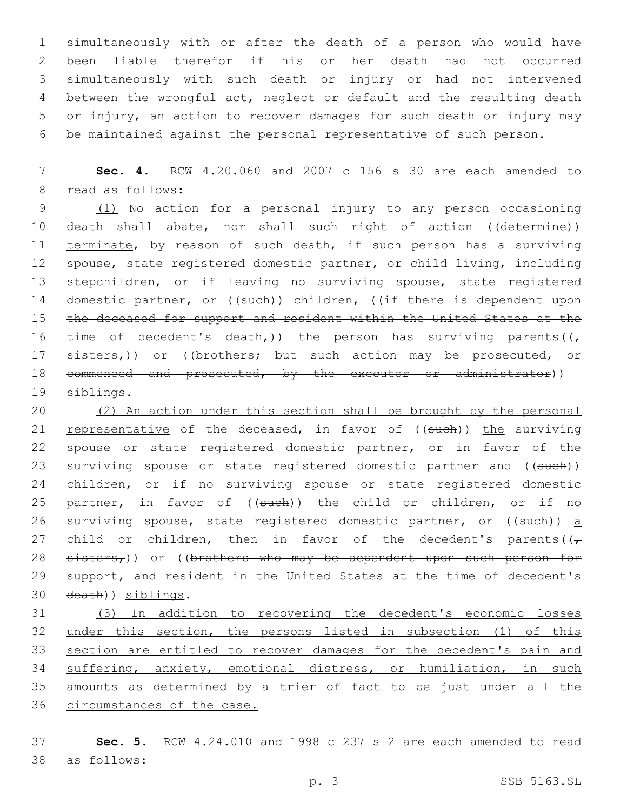simultaneously with or after the death of a person who would have been liable therefor if his or her death had not occurred simultaneously with such death or injury or had not intervened between the wrongful act, neglect or default and the resulting death or injury, an action to recover damages for such death or injury may be maintained against the personal representative of such person.

7 **Sec. 4.** RCW 4.20.060 and 2007 c 156 s 30 are each amended to 8 read as follows:

9 (1) No action for a personal injury to any person occasioning 10 death shall abate, nor shall such right of action ((determine)) 11 terminate, by reason of such death, if such person has a surviving 12 spouse, state registered domestic partner, or child living, including 13 stepchildren, or if leaving no surviving spouse, state registered 14 domestic partner, or ((such)) children, ((if there is dependent upon 15 the deceased for support and resident within the United States at the 16 time of decedent's death,)) the person has surviving parents( $(\tau)$ 17 sisters,)) or ((brothers; but such action may be prosecuted, or 18 commenced and prosecuted, by the executor or administrator)) 19 siblings.

20 (2) An action under this section shall be brought by the personal 21 representative of the deceased, in favor of ((such)) the surviving 22 spouse or state registered domestic partner, or in favor of the 23 surviving spouse or state registered domestic partner and ((such)) 24 children, or if no surviving spouse or state registered domestic 25 partner, in favor of ((such)) the child or children, or if no 26 surviving spouse, state registered domestic partner, or  $((\text{such}) )$  a 27 child or children, then in favor of the decedent's parents( $(\tau)$ 28 sisters,)) or ((brothers who may be dependent upon such person for 29 support, and resident in the United States at the time of decedent's 30 death)) siblings.

 (3) In addition to recovering the decedent's economic losses 32 under this section, the persons listed in subsection (1) of this section are entitled to recover damages for the decedent's pain and suffering, anxiety, emotional distress, or humiliation, in such amounts as determined by a trier of fact to be just under all the 36 circumstances of the case.

37 **Sec. 5.** RCW 4.24.010 and 1998 c 237 s 2 are each amended to read as follows:38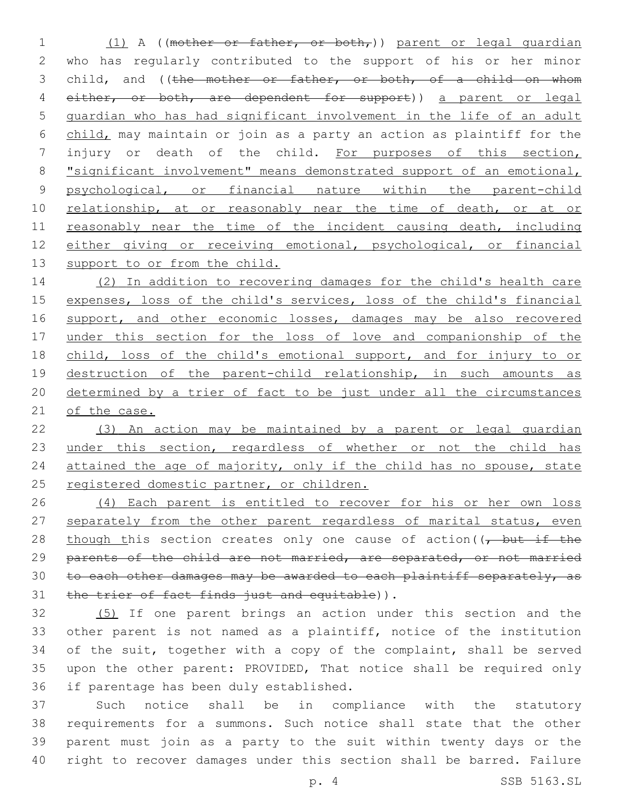1 (1) A ((mother or father, or both,)) parent or legal guardian 2 who has regularly contributed to the support of his or her minor 3 child, and ((the mother or father, or both, of a child on whom 4 either, or both, are dependent for support)) a parent or legal 5 guardian who has had significant involvement in the life of an adult 6 child, may maintain or join as a party an action as plaintiff for the 7 injury or death of the child. For purposes of this section, 8 "significant involvement" means demonstrated support of an emotional, 9 psychological, or financial nature within the parent-child 10 relationship, at or reasonably near the time of death, or at or 11 reasonably near the time of the incident causing death, including 12 either giving or receiving emotional, psychological, or financial 13 support to or from the child.

14 (2) In addition to recovering damages for the child's health care 15 expenses, loss of the child's services, loss of the child's financial 16 support, and other economic losses, damages may be also recovered 17 under this section for the loss of love and companionship of the 18 child, loss of the child's emotional support, and for injury to or 19 destruction of the parent-child relationship, in such amounts as 20 determined by a trier of fact to be just under all the circumstances 21 of the case.

22 (3) An action may be maintained by a parent or legal guardian 23 under this section, regardless of whether or not the child has 24 attained the age of majority, only if the child has no spouse, state 25 registered domestic partner, or children.

26 (4) Each parent is entitled to recover for his or her own loss 27 separately from the other parent regardless of marital status, even 28 though this section creates only one cause of action ((, but if the 29 parents of the child are not married, are separated, or not married 30 to each other damages may be awarded to each plaintiff separately, as 31 the trier of fact finds just and equitable)).

32 (5) If one parent brings an action under this section and the 33 other parent is not named as a plaintiff, notice of the institution 34 of the suit, together with a copy of the complaint, shall be served 35 upon the other parent: PROVIDED, That notice shall be required only 36 if parentage has been duly established.

 Such notice shall be in compliance with the statutory requirements for a summons. Such notice shall state that the other parent must join as a party to the suit within twenty days or the right to recover damages under this section shall be barred. Failure